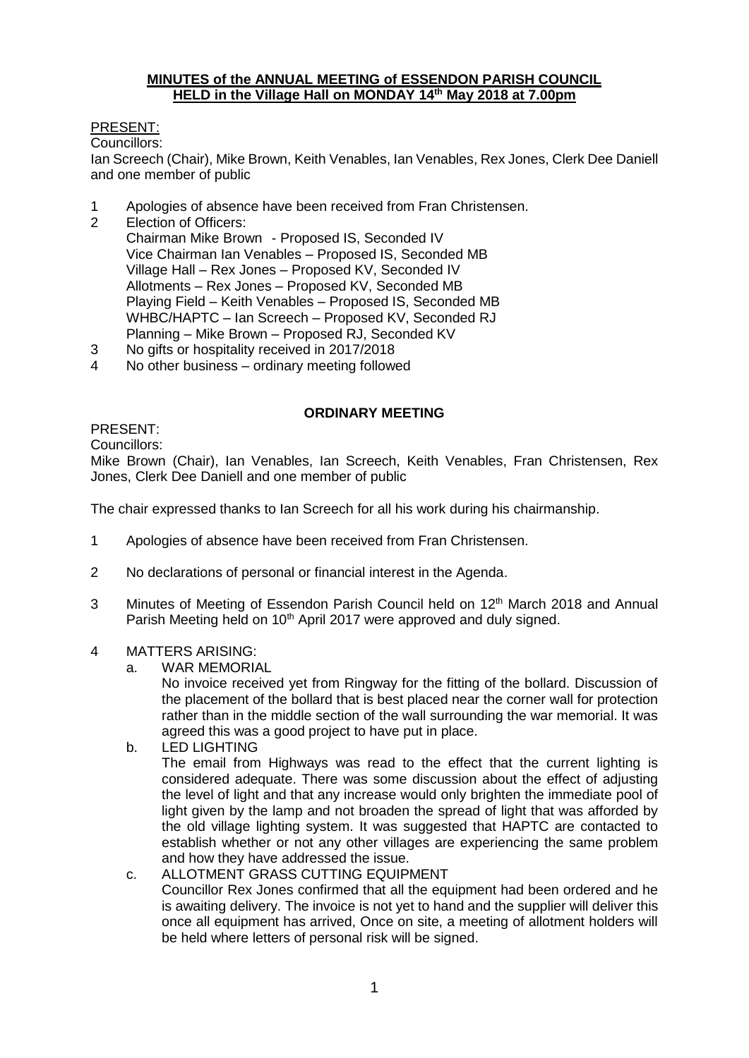#### **MINUTES of the ANNUAL MEETING of ESSENDON PARISH COUNCIL HELD in the Village Hall on MONDAY 14th May 2018 at 7.00pm**

## PRESENT:

Councillors:

Ian Screech (Chair), Mike Brown, Keith Venables, Ian Venables, Rex Jones, Clerk Dee Daniell and one member of public

- 1 Apologies of absence have been received from Fran Christensen.
- 2 Election of Officers: Chairman Mike Brown - Proposed IS, Seconded IV Vice Chairman Ian Venables – Proposed IS, Seconded MB Village Hall – Rex Jones – Proposed KV, Seconded IV Allotments – Rex Jones – Proposed KV, Seconded MB Playing Field – Keith Venables – Proposed IS, Seconded MB WHBC/HAPTC – Ian Screech – Proposed KV, Seconded RJ Planning – Mike Brown – Proposed RJ, Seconded KV
- 
- 3 No gifts or hospitality received in 2017/2018<br>4 No other business ordinary meeting followe No other business – ordinary meeting followed

## **ORDINARY MEETING**

PRESENT:

Councillors:

Mike Brown (Chair), Ian Venables, Ian Screech, Keith Venables, Fran Christensen, Rex Jones, Clerk Dee Daniell and one member of public

The chair expressed thanks to Ian Screech for all his work during his chairmanship.

- 1 Apologies of absence have been received from Fran Christensen.
- 2 No declarations of personal or financial interest in the Agenda.
- 3 Minutes of Meeting of Essendon Parish Council held on 12<sup>th</sup> March 2018 and Annual Parish Meeting held on 10<sup>th</sup> April 2017 were approved and duly signed.

#### 4 MATTERS ARISING:

a. WAR MEMORIAL

No invoice received yet from Ringway for the fitting of the bollard. Discussion of the placement of the bollard that is best placed near the corner wall for protection rather than in the middle section of the wall surrounding the war memorial. It was agreed this was a good project to have put in place.

b. LED LIGHTING

The email from Highways was read to the effect that the current lighting is considered adequate. There was some discussion about the effect of adjusting the level of light and that any increase would only brighten the immediate pool of light given by the lamp and not broaden the spread of light that was afforded by the old village lighting system. It was suggested that HAPTC are contacted to establish whether or not any other villages are experiencing the same problem and how they have addressed the issue.

c. ALLOTMENT GRASS CUTTING EQUIPMENT Councillor Rex Jones confirmed that all the equipment had been ordered and he is awaiting delivery. The invoice is not yet to hand and the supplier will deliver this once all equipment has arrived, Once on site, a meeting of allotment holders will be held where letters of personal risk will be signed.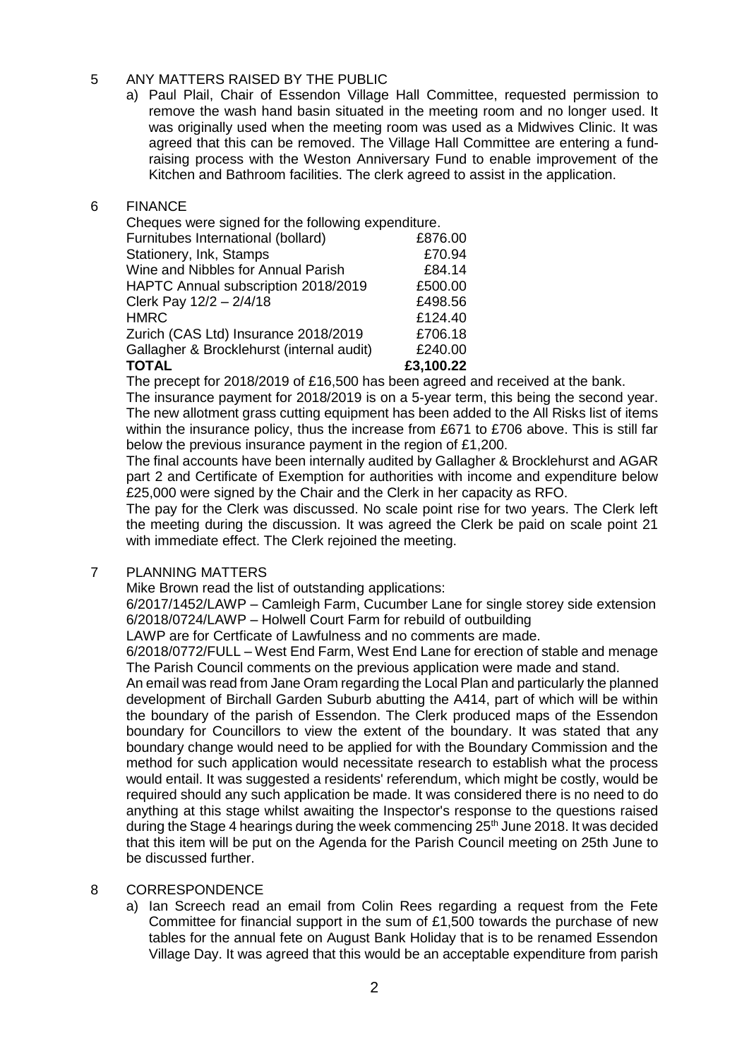#### 5 ANY MATTERS RAISED BY THE PUBLIC

a) Paul Plail, Chair of Essendon Village Hall Committee, requested permission to remove the wash hand basin situated in the meeting room and no longer used. It was originally used when the meeting room was used as a Midwives Clinic. It was agreed that this can be removed. The Village Hall Committee are entering a fundraising process with the Weston Anniversary Fund to enable improvement of the Kitchen and Bathroom facilities. The clerk agreed to assist in the application.

#### 6 FINANCE

| Cheques were signed for the following expenditure. |           |
|----------------------------------------------------|-----------|
| Furnitubes International (bollard)                 | £876.00   |
| Stationery, Ink, Stamps                            | £70.94    |
| Wine and Nibbles for Annual Parish                 | £84.14    |
| HAPTC Annual subscription 2018/2019                | £500.00   |
| Clerk Pay 12/2 - 2/4/18                            | £498.56   |
| <b>HMRC</b>                                        | £124.40   |
| Zurich (CAS Ltd) Insurance 2018/2019               | £706.18   |
| Gallagher & Brocklehurst (internal audit)          | £240.00   |
| <b>TOTAL</b>                                       | £3,100.22 |
|                                                    |           |

The precept for 2018/2019 of £16,500 has been agreed and received at the bank. The insurance payment for 2018/2019 is on a 5-year term, this being the second year. The new allotment grass cutting equipment has been added to the All Risks list of items within the insurance policy, thus the increase from £671 to £706 above. This is still far below the previous insurance payment in the region of £1,200.

The final accounts have been internally audited by Gallagher & Brocklehurst and AGAR part 2 and Certificate of Exemption for authorities with income and expenditure below £25,000 were signed by the Chair and the Clerk in her capacity as RFO.

The pay for the Clerk was discussed. No scale point rise for two years. The Clerk left the meeting during the discussion. It was agreed the Clerk be paid on scale point 21 with immediate effect. The Clerk rejoined the meeting.

#### 7 PLANNING MATTERS

Mike Brown read the list of outstanding applications:

6/2017/1452/LAWP – Camleigh Farm, Cucumber Lane for single storey side extension 6/2018/0724/LAWP – Holwell Court Farm for rebuild of outbuilding

LAWP are for Certficate of Lawfulness and no comments are made.

6/2018/0772/FULL – West End Farm, West End Lane for erection of stable and menage The Parish Council comments on the previous application were made and stand.

An email was read from Jane Oram regarding the Local Plan and particularly the planned development of Birchall Garden Suburb abutting the A414, part of which will be within the boundary of the parish of Essendon. The Clerk produced maps of the Essendon boundary for Councillors to view the extent of the boundary. It was stated that any boundary change would need to be applied for with the Boundary Commission and the method for such application would necessitate research to establish what the process would entail. It was suggested a residents' referendum, which might be costly, would be required should any such application be made. It was considered there is no need to do anything at this stage whilst awaiting the Inspector's response to the questions raised during the Stage 4 hearings during the week commencing 25<sup>th</sup> June 2018. It was decided that this item will be put on the Agenda for the Parish Council meeting on 25th June to be discussed further.

# 8 CORRESPONDENCE

a) Ian Screech read an email from Colin Rees regarding a request from the Fete Committee for financial support in the sum of £1,500 towards the purchase of new tables for the annual fete on August Bank Holiday that is to be renamed Essendon Village Day. It was agreed that this would be an acceptable expenditure from parish